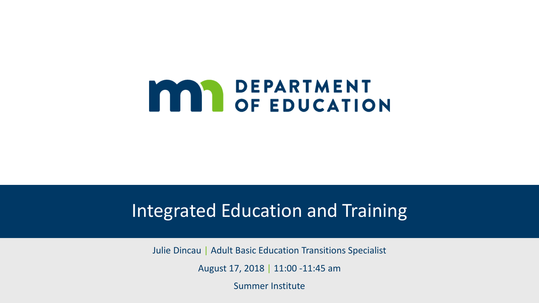# **MAN DEPARTMENT<br>OF EDUCATION**

#### Integrated Education and Training

Julie Dincau | Adult Basic Education Transitions Specialist

August 17, 2018 | 11:00 -11:45 am

Summer Institute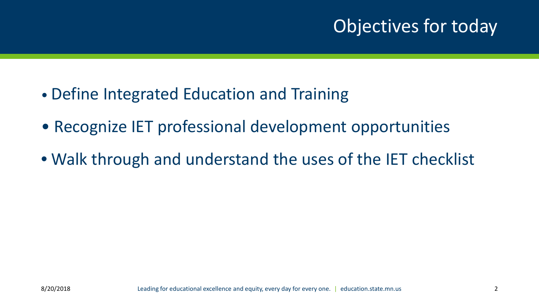#### Objectives for today

- Define Integrated Education and Training
- Recognize IET professional development opportunities
- Walk through and understand the uses of the IET checklist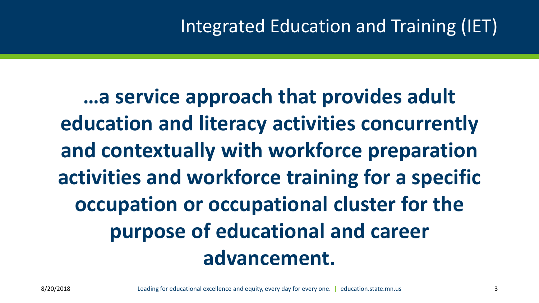#### Integrated Education and Training (IET)

**…a service approach that provides adult education and literacy activities concurrently and contextually with workforce preparation activities and workforce training for a specific occupation or occupational cluster for the purpose of educational and career advancement.**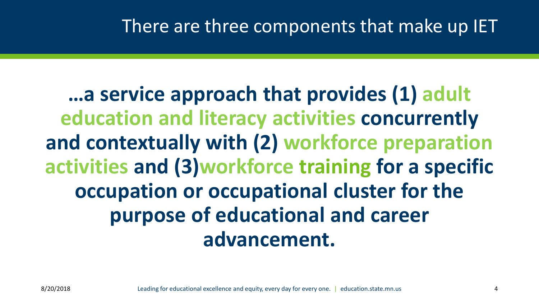**…a service approach that provides (1) adult education and literacy activities concurrently and contextually with (2) workforce preparation activities and (3)workforce training for a specific occupation or occupational cluster for the purpose of educational and career advancement.**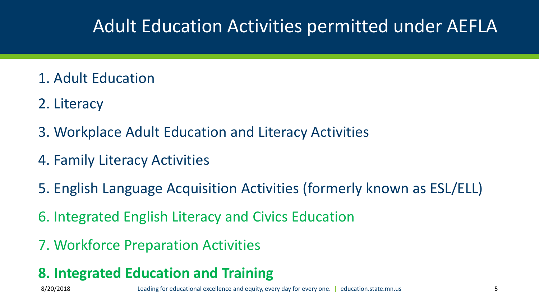#### Adult Education Activities permitted under AEFLA

- 1. Adult Education
- 2. Literacy
- 3. Workplace Adult Education and Literacy Activities
- 4. Family Literacy Activities
- 5. English Language Acquisition Activities (formerly known as ESL/ELL)
- 6. Integrated English Literacy and Civics Education
- 7. Workforce Preparation Activities

#### **8. Integrated Education and Training**

8/20/2018 Leading for educational excellence and equity, every day for every one. | education.state.mn.us 5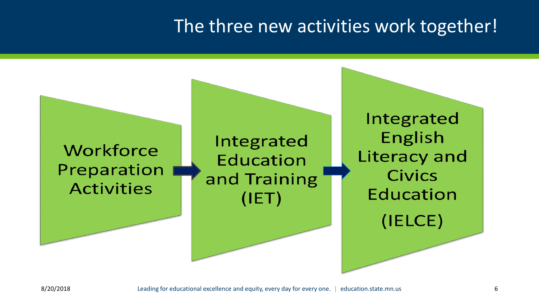#### The three new activities work together!

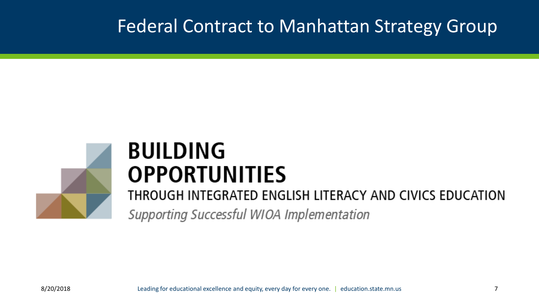#### Federal Contract to Manhattan Strategy Group



## **BUILDING OPPORTUNITIES**

THROUGH INTEGRATED ENGLISH LITERACY AND CIVICS EDUCATION Supporting Successful WIOA Implementation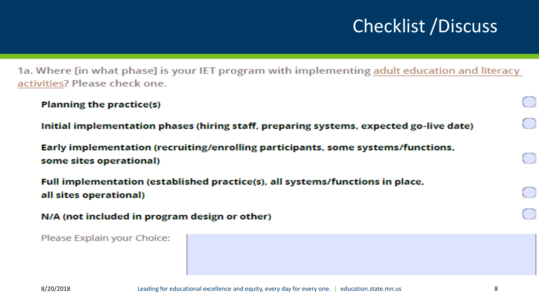## Checklist /Discuss

1a. Where [in what phase] is your IET program with implementing adult education and literacy activities? Please check one.

```
Planning the practice(s)
```
Initial implementation phases (hiring staff, preparing systems, expected go-live date)

Early implementation (recruiting/enrolling participants, some systems/functions, some sites operational)

Full implementation (established practice(s), all systems/functions in place, all sites operational)

```
N/A (not included in program design or other)
```
Please Explain your Choice: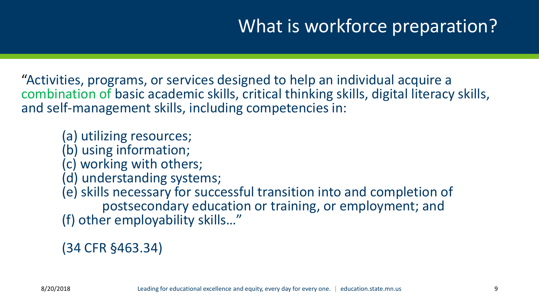#### What is workforce preparation?

"Activities, programs, or services designed to help an individual acquire a combination of basic academic skills, critical thinking skills, digital literacy skills, and self-management skills, including competencies in:

(a) utilizing resources;

- (b) using information;
- (c) working with others;
- (d) understanding systems;
- (e) skills necessary for successful transition into and completion of postsecondary education or training, or employment; and (f) other employability skills…"

(34 CFR §463.34)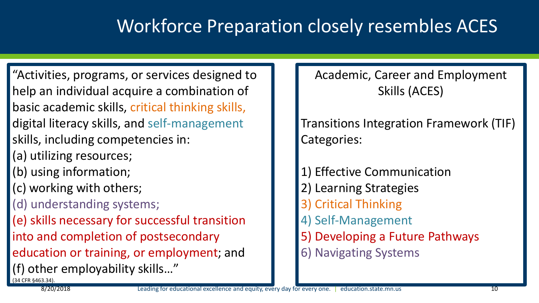#### Workforce Preparation closely resembles ACES

"Activities, programs, or services designed to help an individual acquire a combination of basic academic skills, critical thinking skills, digital literacy skills, and self-management skills, including competencies in: (a) utilizing resources; (b) using information; (c) working with others; (d) understanding systems; (e) skills necessary for successful transition into and completion of postsecondary education or training, or employment; and (f) other employability skills…" (34 CFR §463.34).

Academic, Career and Employment Skills (ACES)

Transitions Integration Framework (TIF) Categories:

1) Effective Communication 2) Learning Strategies 3) Critical Thinking 4) Self-Management 5) Developing a Future Pathways 6) Navigating Systems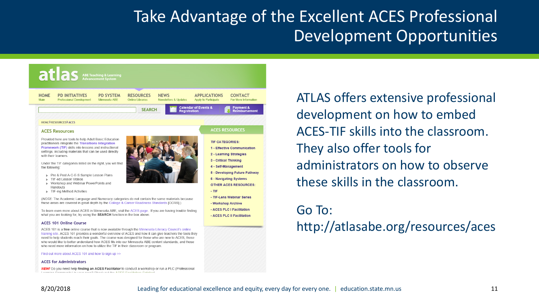#### Take Advantage of the Excellent ACES Professional Development Opportunities



ATLAS offers extensive professional development on how to embed ACES-TIF skills into the classroom. They also offer tools for administrators on how to observe these skills in the classroom.

#### Go To:

http://atlasabe.org/resources/aces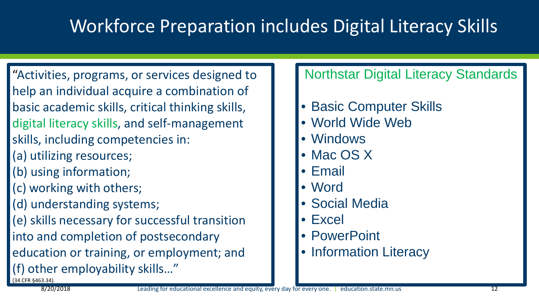#### Workforce Preparation includes Digital Literacy Skills

"Activities, programs, or services designed to help an individual acquire a combination of basic academic skills, critical thinking skills, digital literacy skills, and self-management skills, including competencies in:

- (a) utilizing resources;
- (b) using information;
- (c) working with others;
- (d) understanding systems;

(e) skills necessary for successful transition

into and completion of postsecondary

education or training, or employment; and

(f) other employability skills…" (34 CFR §463.34).

#### Northstar Digital Literacy Standards

- Basic Computer Skills
- World Wide Web
- Windows
- Mac OS X
- Email
- Word
- Social Media
- Excel
- PowerPoint
- Information Literacy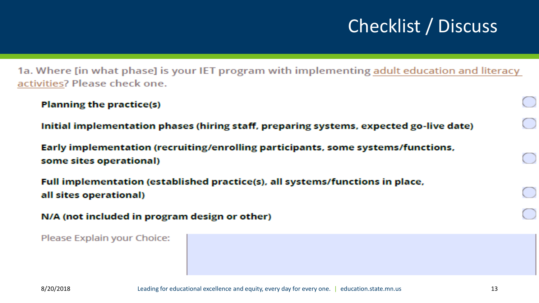## Checklist / Discuss

1a. Where [in what phase] is your IET program with implementing adult education and literacy activities? Please check one.

```
Planning the practice(s)
```
Initial implementation phases (hiring staff, preparing systems, expected go-live date)

Early implementation (recruiting/enrolling participants, some systems/functions, some sites operational)

Full implementation (established practice(s), all systems/functions in place, all sites operational)

```
N/A (not included in program design or other)
```
Please Explain your Choice: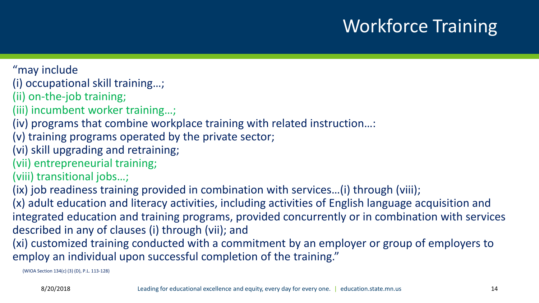## Workforce Training

"may include

(i) occupational skill training…;

(ii) on-the-job training;

(iii) incumbent worker training…;

(iv) programs that combine workplace training with related instruction…:

(v) training programs operated by the private sector;

(vi) skill upgrading and retraining;

(vii) entrepreneurial training;

(viii) transitional jobs…;

(ix) job readiness training provided in combination with services…(i) through (viii);

(x) adult education and literacy activities, including activities of English language acquisition and integrated education and training programs, provided concurrently or in combination with services described in any of clauses (i) through (vii); and

(xi) customized training conducted with a commitment by an employer or group of employers to employ an individual upon successful completion of the training."

(WIOA Section 134(c) (3) (D), P.L. 113-128)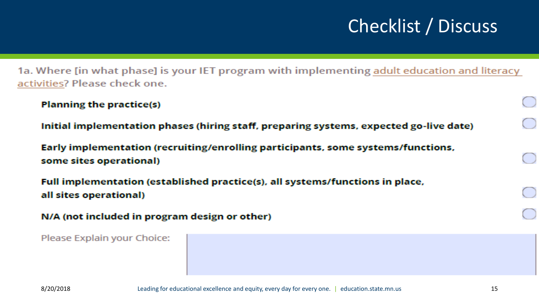## Checklist / Discuss

1a. Where [in what phase] is your IET program with implementing adult education and literacy activities? Please check one.

```
Planning the practice(s)
```
Initial implementation phases (hiring staff, preparing systems, expected go-live date)

Early implementation (recruiting/enrolling participants, some systems/functions, some sites operational)

Full implementation (established practice(s), all systems/functions in place, all sites operational)

```
N/A (not included in program design or other)
```
Please Explain your Choice: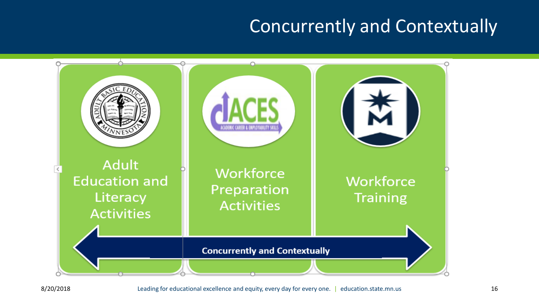#### Concurrently and Contextually

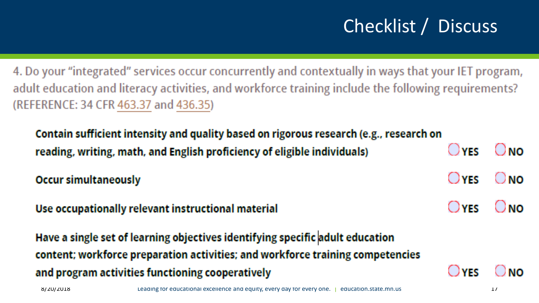## Checklist / Discuss

4. Do your "integrated" services occur concurrently and contextually in ways that your IET program, adult education and literacy activities, and workforce training include the following requirements? (REFERENCE: 34 CFR 463.37 and 436.35)

Contain sufficient intensity and quality based on rigorous research (e.g., research on ( ) YFS reading, writing, math, and English proficiency of eligible individuals)

 $\bigcirc$  YES ( ) **NO Occur simultaneously** 

( ) YES Use occupationally relevant instructional material

Have a single set of learning objectives identifying specific adult education content; workforce preparation activities; and workforce training competencies and program activities functioning cooperatively

. JYFS

( ) ผก

( ) **NO**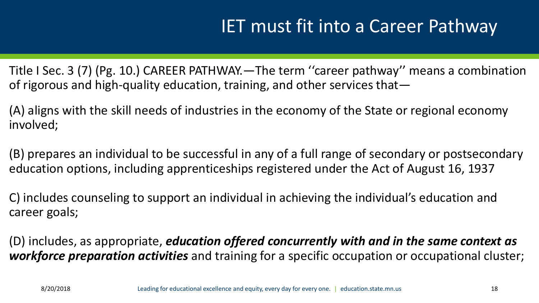#### IET must fit into a Career Pathway

Title I Sec. 3 (7) (Pg. 10.) CAREER PATHWAY.—The term ''career pathway'' means a combination of rigorous and high-quality education, training, and other services that—

(A) aligns with the skill needs of industries in the economy of the State or regional economy involved;

(B) prepares an individual to be successful in any of a full range of secondary or postsecondary education options, including apprenticeships registered under the Act of August 16, 1937

C) includes counseling to support an individual in achieving the individual's education and career goals;

(D) includes, as appropriate, *education offered concurrently with and in the same context as workforce preparation activities* and training for a specific occupation or occupational cluster;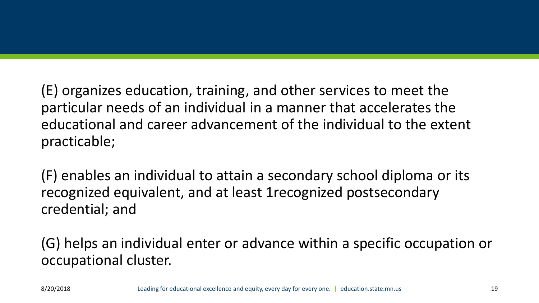(E) organizes education, training, and other services to meet the particular needs of an individual in a manner that accelerates the educational and career advancement of the individual to the extent practicable;

(F) enables an individual to attain a secondary school diploma or its recognized equivalent, and at least 1recognized postsecondary credential; and

(G) helps an individual enter or advance within a specific occupation or occupational cluster.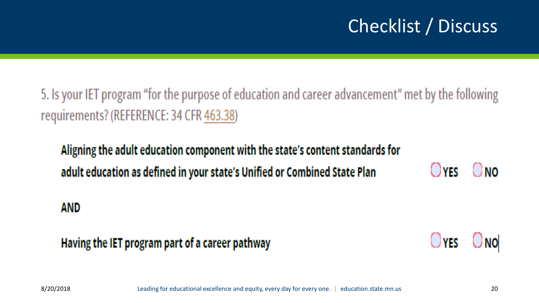## Checklist / Discuss

5. Is your IET program "for the purpose of education and career advancement" met by the following requirements? (REFERENCE: 34 CFR 463.38)

#### Aligning the adult education component with the state's content standards for ( ) YES ONO) adult education as defined in your state's Unified or Combined State Plan

#### AND

Having the IET program part of a career pathway

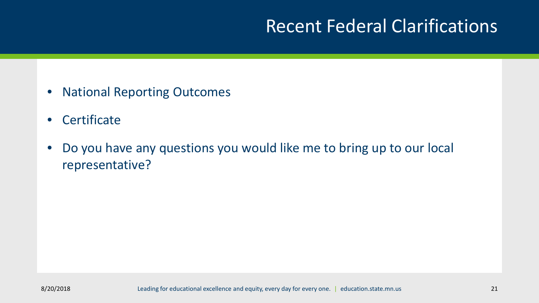#### Recent Federal Clarifications

- National Reporting Outcomes
- Certificate
- Do you have any questions you would like me to bring up to our local representative?